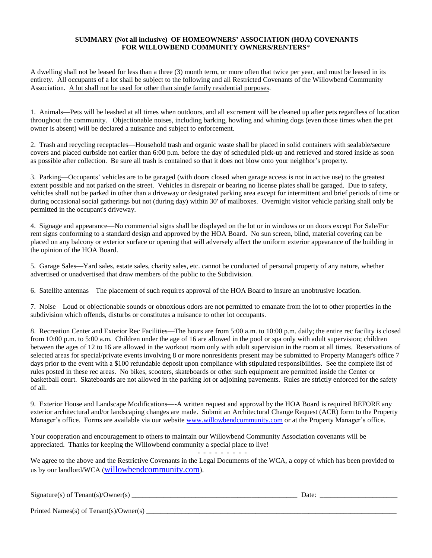## **SUMMARY (Not all inclusive) OF HOMEOWNERS' ASSOCIATION (HOA) COVENANTS FOR WILLOWBEND COMMUNITY OWNERS/RENTERS**\*

A dwelling shall not be leased for less than a three (3) month term, or more often that twice per year, and must be leased in its entirety. All occupants of a lot shall be subject to the following and all Restricted Covenants of the Willowbend Community Association. A lot shall not be used for other than single family residential purposes.

1. Animals—Pets will be leashed at all times when outdoors, and all excrement will be cleaned up after pets regardless of location throughout the community. Objectionable noises, including barking, howling and whining dogs (even those times when the pet owner is absent) will be declared a nuisance and subject to enforcement.

2. Trash and recycling receptacles—Household trash and organic waste shall be placed in solid containers with sealable/secure covers and placed curbside not earlier than 6:00 p.m. before the day of scheduled pick-up and retrieved and stored inside as soon as possible after collection. Be sure all trash is contained so that it does not blow onto your neighbor's property.

3. Parking—Occupants' vehicles are to be garaged (with doors closed when garage access is not in active use) to the greatest extent possible and not parked on the street. Vehicles in disrepair or bearing no license plates shall be garaged. Due to safety, vehicles shall not be parked in other than a driveway or designated parking area except for intermittent and brief periods of time or during occasional social gatherings but not (during day) within 30' of mailboxes. Overnight visitor vehicle parking shall only be permitted in the occupant's driveway.

4. Signage and appearance—No commercial signs shall be displayed on the lot or in windows or on doors except For Sale/For rent signs conforming to a standard design and approved by the HOA Board. No sun screen, blind, material covering can be placed on any balcony or exterior surface or opening that will adversely affect the uniform exterior appearance of the building in the opinion of the HOA Board.

5. Garage Sales—Yard sales, estate sales, charity sales, etc. cannot be conducted of personal property of any nature, whether advertised or unadvertised that draw members of the public to the Subdivision.

6. Satellite antennas—The placement of such requires approval of the HOA Board to insure an unobtrusive location.

7. Noise—Loud or objectionable sounds or obnoxious odors are not permitted to emanate from the lot to other properties in the subdivision which offends, disturbs or constitutes a nuisance to other lot occupants.

8. Recreation Center and Exterior Rec Facilities—The hours are from 5:00 a.m. to 10:00 p.m. daily; the entire rec facility is closed from 10:00 p.m. to 5:00 a.m. Children under the age of 16 are allowed in the pool or spa only with adult supervision; children between the ages of 12 to 16 are allowed in the workout room only with adult supervision in the room at all times. Reservations of selected areas for special/private events involving 8 or more nonresidents present may be submitted to Property Manager's office 7 days prior to the event with a \$100 refundable deposit upon compliance with stipulated responsibilities. See the complete list of rules posted in these rec areas. No bikes, scooters, skateboards or other such equipment are permitted inside the Center or basketball court. Skateboards are not allowed in the parking lot or adjoining pavements. Rules are strictly enforced for the safety of all.

9. Exterior House and Landscape Modifications—-A written request and approval by the HOA Board is required BEFORE any exterior architectural and/or landscaping changes are made. Submit an Architectural Change Request (ACR) form to the Property Manager's office. Forms are available via our website [www.willowbendcommunity.com](http://www.willowbencommunity.com/) or at the Property Manager's office.

Your cooperation and encouragement to others to maintain our Willowbend Community Association covenants will be appreciated. Thanks for keeping the Willowbend community a special place to live!

- - - - - - - - - We agree to the above and the Restrictive Covenants in the Legal Documents of the WCA, a copy of which has been provided to us by our landlord/WCA ([willowbendcommunity.com](http://willowbendcommunity.com/)).

| Signature(s) of Tenant(s)/Owner(s)       | Jate |
|------------------------------------------|------|
|                                          |      |
| Printed Names(s) of $Tenant(s)/Owner(s)$ |      |